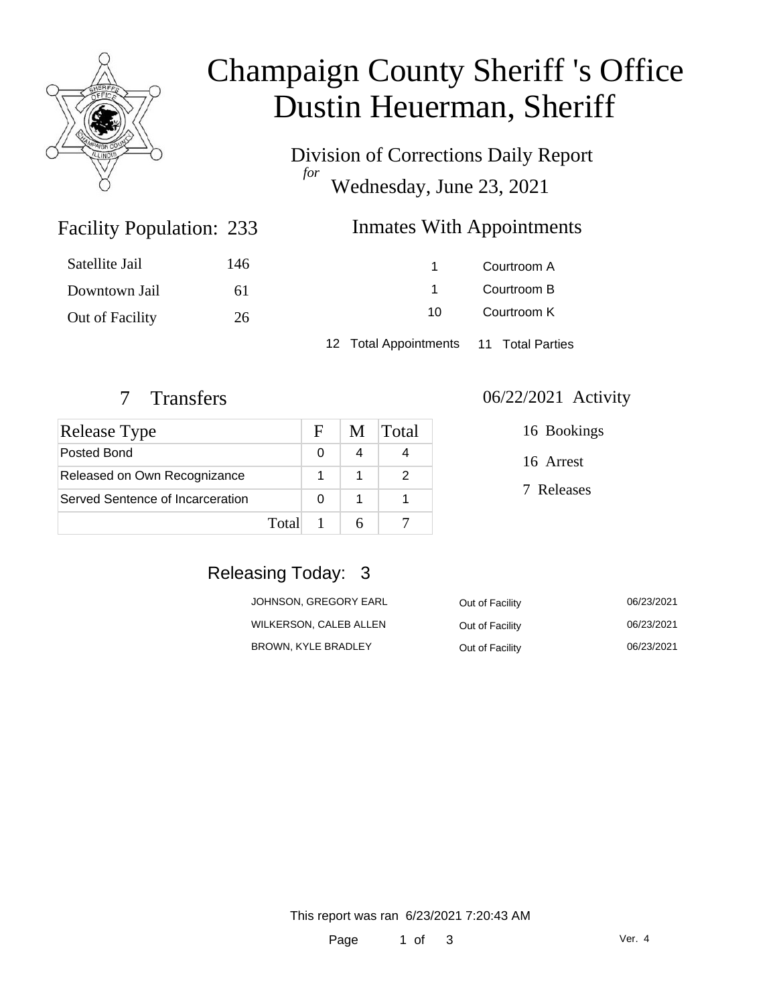

# Champaign County Sheriff 's Office Dustin Heuerman, Sheriff

Division of Corrections Daily Report *for* Wednesday, June 23, 2021

### Inmates With Appointments

| Satellite Jail  | 146 |                                        | Courtroom A |
|-----------------|-----|----------------------------------------|-------------|
| Downtown Jail   | 61  |                                        | Courtroom B |
| Out of Facility | 26  | 10                                     | Courtroom K |
|                 |     | 12 Total Appointments 11 Total Parties |             |

Facility Population: 233

| Release Type                     |       | $\mathbf{F}$ | M | Total |
|----------------------------------|-------|--------------|---|-------|
| Posted Bond                      |       | 0            |   |       |
| Released on Own Recognizance     |       |              |   |       |
| Served Sentence of Incarceration |       |              |   |       |
|                                  | Total |              |   |       |

#### 7 Transfers 06/22/2021 Activity

| 16 Bookings |
|-------------|
| 16 Arrest   |
| 7 Releases  |
|             |

### Releasing Today: 3

| JOHNSON. GREGORY EARL  | Out of Facility | 06/23/2021 |
|------------------------|-----------------|------------|
| WILKERSON, CALEB ALLEN | Out of Facility | 06/23/2021 |
| BROWN, KYLE BRADLEY    | Out of Facility | 06/23/2021 |

This report was ran 6/23/2021 7:20:43 AM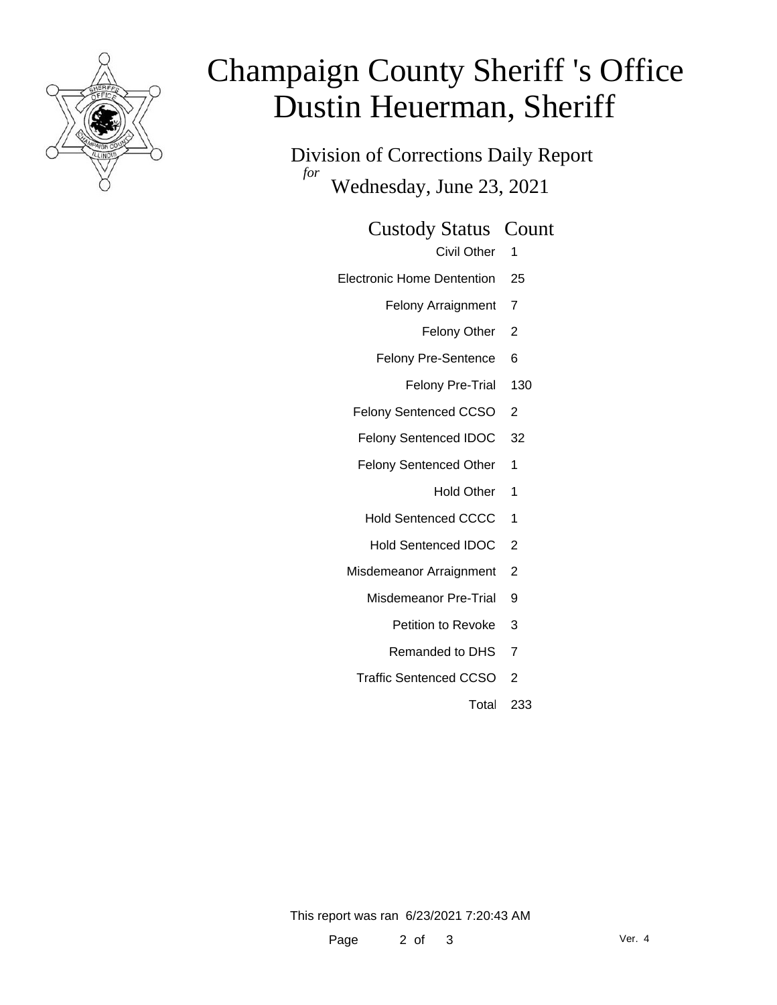

# Champaign County Sheriff 's Office Dustin Heuerman, Sheriff

Division of Corrections Daily Report *for* Wednesday, June 23, 2021

Custody Status Count

Civil Other 1

- Electronic Home Dentention 25
	- Felony Arraignment 7
		- Felony Other 2
	- Felony Pre-Sentence 6
		- Felony Pre-Trial 130
	- Felony Sentenced CCSO 2
	- Felony Sentenced IDOC 32
	- Felony Sentenced Other 1
		- Hold Other 1
	- Hold Sentenced CCCC 1
	- Hold Sentenced IDOC 2
	- Misdemeanor Arraignment 2
		- Misdemeanor Pre-Trial 9
			- Petition to Revoke 3
			- Remanded to DHS 7
		- Traffic Sentenced CCSO 2
			- Total 233